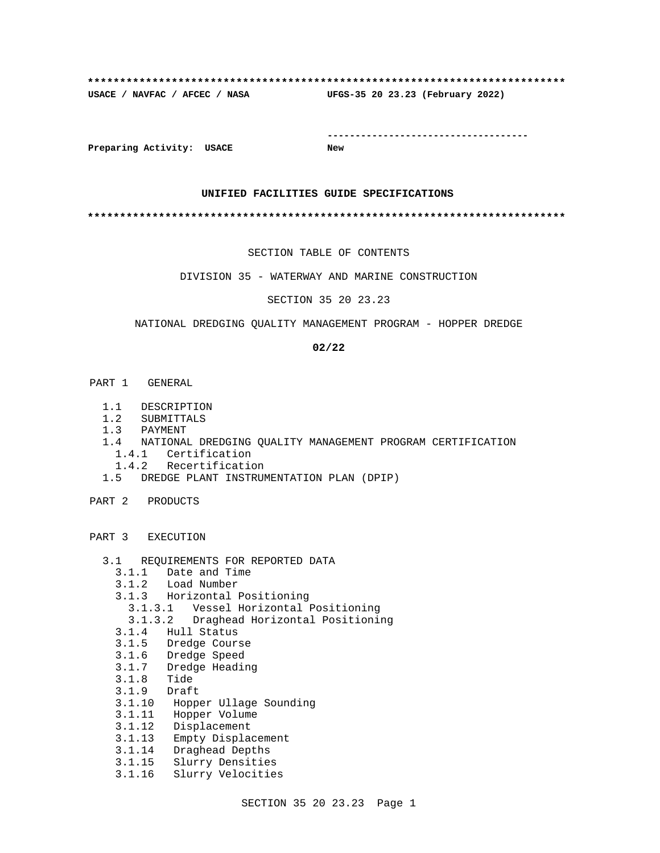# **\*\*\*\*\*\*\*\*\*\*\*\*\*\*\*\*\*\*\*\*\*\*\*\*\*\*\*\*\*\*\*\*\*\*\*\*\*\*\*\*\*\*\*\*\*\*\*\*\*\*\*\*\*\*\*\*\*\*\*\*\*\*\*\*\*\*\*\*\*\*\*\*\*\* USACE / NAVFAC / AFCEC / NASA UFGS-35 20 23.23 (February 2022)**

**------------------------------------**

**Preparing Activity: USACE New**

#### **UNIFIED FACILITIES GUIDE SPECIFICATIONS**

**\*\*\*\*\*\*\*\*\*\*\*\*\*\*\*\*\*\*\*\*\*\*\*\*\*\*\*\*\*\*\*\*\*\*\*\*\*\*\*\*\*\*\*\*\*\*\*\*\*\*\*\*\*\*\*\*\*\*\*\*\*\*\*\*\*\*\*\*\*\*\*\*\*\***

SECTION TABLE OF CONTENTS

DIVISION 35 - WATERWAY AND MARINE CONSTRUCTION

SECTION 35 20 23.23

#### NATIONAL DREDGING QUALITY MANAGEMENT PROGRAM - HOPPER DREDGE

#### **02/22**

- PART 1 GENERAL
	- 1.1 DESCRIPTION
	- 1.2 SUBMITTALS
	- 1.3 PAYMENT
	- 1.4 NATIONAL DREDGING QUALITY MANAGEMENT PROGRAM CERTIFICATION 1.4.1 Certification
		- 1.4.2 Recertification
	- 1.5 DREDGE PLANT INSTRUMENTATION PLAN (DPIP)
- PART 2 PRODUCTS

PART 3 EXECUTION

- 3.1 REQUIREMENTS FOR REPORTED DATA
	- 3.1.1 Date and Time
	- 3.1.2 Load Number
	- 3.1.3 Horizontal Positioning
- 3.1.3.1 Vessel Horizontal Positioning
- 3.1.3.2 Draghead Horizontal Positioning
	- 3.1.4 Hull Status
	- 3.1.5 Dredge Course
	- 3.1.6 Dredge Speed
	- 3.1.7 Dredge Heading
	- 3.1.8 Tide
	- 3.1.9 Draft
	- 3.1.10 Hopper Ullage Sounding
	- 3.1.11 Hopper Volume
	- 3.1.12 Displacement
	- 3.1.13 Empty Displacement
	- 3.1.14 Draghead Depths
	- 3.1.15 Slurry Densities
	- 3.1.16 Slurry Velocities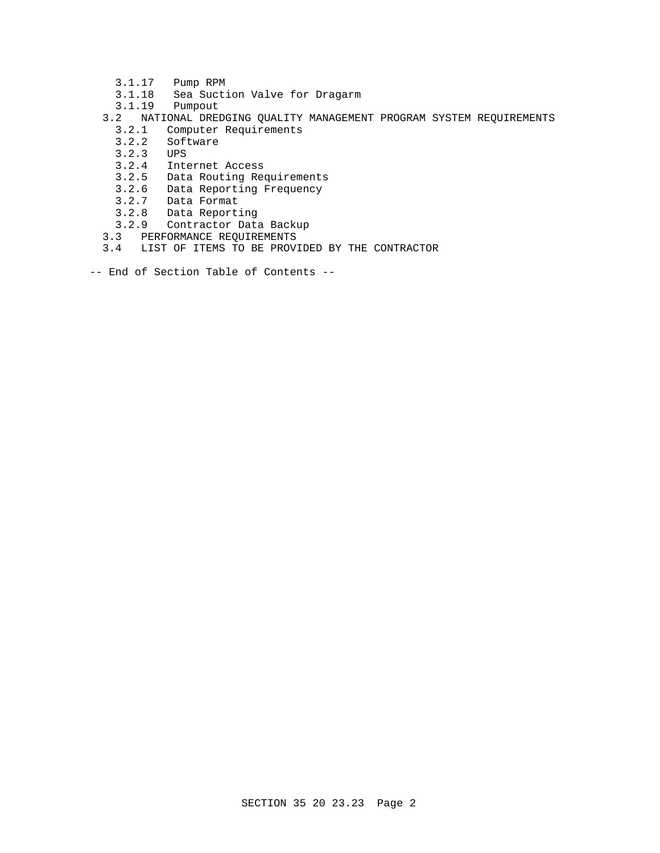- 3.1.17 Pump RPM
- 3.1.18 Sea Suction Valve for Dragarm
- 3.1.19 Pumpout
- 3.2 NATIONAL DREDGING QUALITY MANAGEMENT PROGRAM SYSTEM REQUIREMENTS
- 3.2.1 Computer Requirements
- 3.2.2 Software
- 3.2.3 UPS
	- 3.2.4 Internet Access
	- 3.2.5 Data Routing Requirements
	- 3.2.6 Data Reporting Frequency
	- 3.2.7 Data Format
	- 3.2.8 Data Reporting
	- 3.2.9 Contractor Data Backup
	- 3.3 PERFORMANCE REQUIREMENTS
	- 3.4 LIST OF ITEMS TO BE PROVIDED BY THE CONTRACTOR
- -- End of Section Table of Contents --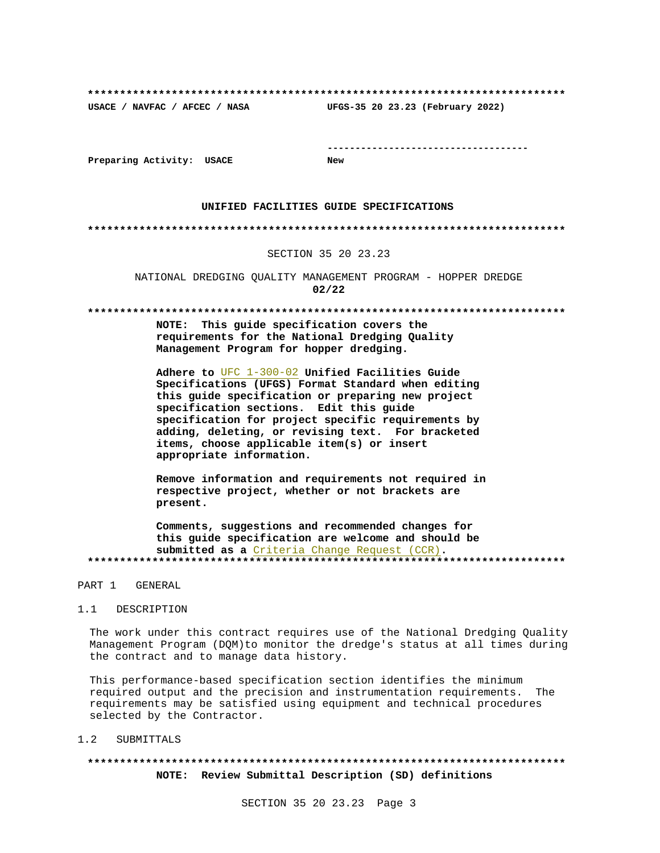**\*\*\*\*\*\*\*\*\*\*\*\*\*\*\*\*\*\*\*\*\*\*\*\*\*\*\*\*\*\*\*\*\*\*\*\*\*\*\*\*\*\*\*\*\*\*\*\*\*\*\*\*\*\*\*\*\*\*\*\*\*\*\*\*\*\*\*\*\*\*\*\*\*\* USACE / NAVFAC / AFCEC / NASA UFGS-35 20 23.23 (February 2022)**

**------------------------------------**

**Preparing Activity: USACE New**

#### **UNIFIED FACILITIES GUIDE SPECIFICATIONS**

#### **\*\*\*\*\*\*\*\*\*\*\*\*\*\*\*\*\*\*\*\*\*\*\*\*\*\*\*\*\*\*\*\*\*\*\*\*\*\*\*\*\*\*\*\*\*\*\*\*\*\*\*\*\*\*\*\*\*\*\*\*\*\*\*\*\*\*\*\*\*\*\*\*\*\***

#### SECTION 35 20 23.23

NATIONAL DREDGING QUALITY MANAGEMENT PROGRAM - HOPPER DREDGE **02/22**

#### **\*\*\*\*\*\*\*\*\*\*\*\*\*\*\*\*\*\*\*\*\*\*\*\*\*\*\*\*\*\*\*\*\*\*\*\*\*\*\*\*\*\*\*\*\*\*\*\*\*\*\*\*\*\*\*\*\*\*\*\*\*\*\*\*\*\*\*\*\*\*\*\*\*\***

**NOTE: This guide specification covers the requirements for the National Dredging Quality Management Program for hopper dredging.**

**Adhere to** UFC 1-300-02 **Unified Facilities Guide Specifications (UFGS) Format Standard when editing this guide specification or preparing new project specification sections. Edit this guide specification for project specific requirements by adding, deleting, or revising text. For bracketed items, choose applicable item(s) or insert appropriate information.**

**Remove information and requirements not required in respective project, whether or not brackets are present.**

**Comments, suggestions and recommended changes for this guide specification are welcome and should be submitted as a** Criteria Change Request (CCR)**. \*\*\*\*\*\*\*\*\*\*\*\*\*\*\*\*\*\*\*\*\*\*\*\*\*\*\*\*\*\*\*\*\*\*\*\*\*\*\*\*\*\*\*\*\*\*\*\*\*\*\*\*\*\*\*\*\*\*\*\*\*\*\*\*\*\*\*\*\*\*\*\*\*\***

#### PART 1 GENERAL

#### 1.1 DESCRIPTION

The work under this contract requires use of the National Dredging Quality Management Program (DQM)to monitor the dredge's status at all times during the contract and to manage data history.

This performance-based specification section identifies the minimum required output and the precision and instrumentation requirements. The requirements may be satisfied using equipment and technical procedures selected by the Contractor.

#### 1.2 SUBMITTALS

# **\*\*\*\*\*\*\*\*\*\*\*\*\*\*\*\*\*\*\*\*\*\*\*\*\*\*\*\*\*\*\*\*\*\*\*\*\*\*\*\*\*\*\*\*\*\*\*\*\*\*\*\*\*\*\*\*\*\*\*\*\*\*\*\*\*\*\*\*\*\*\*\*\*\* NOTE: Review Submittal Description (SD) definitions**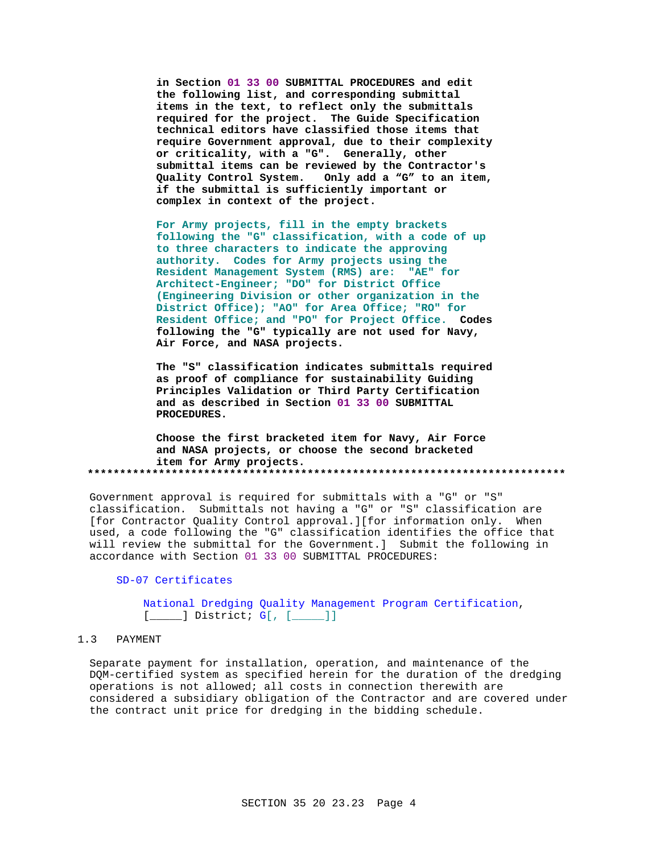**in Section 01 33 00 SUBMITTAL PROCEDURES and edit the following list, and corresponding submittal items in the text, to reflect only the submittals required for the project. The Guide Specification technical editors have classified those items that require Government approval, due to their complexity or criticality, with a "G". Generally, other submittal items can be reviewed by the Contractor's Quality Control System. Only add a "G" to an item, if the submittal is sufficiently important or complex in context of the project.**

**For Army projects, fill in the empty brackets following the "G" classification, with a code of up to three characters to indicate the approving authority. Codes for Army projects using the Resident Management System (RMS) are: "AE" for Architect-Engineer; "DO" for District Office (Engineering Division or other organization in the District Office); "AO" for Area Office; "RO" for Resident Office; and "PO" for Project Office. Codes following the "G" typically are not used for Navy, Air Force, and NASA projects.**

**The "S" classification indicates submittals required as proof of compliance for sustainability Guiding Principles Validation or Third Party Certification and as described in Section 01 33 00 SUBMITTAL PROCEDURES.**

**Choose the first bracketed item for Navy, Air Force and NASA projects, or choose the second bracketed item for Army projects. \*\*\*\*\*\*\*\*\*\*\*\*\*\*\*\*\*\*\*\*\*\*\*\*\*\*\*\*\*\*\*\*\*\*\*\*\*\*\*\*\*\*\*\*\*\*\*\*\*\*\*\*\*\*\*\*\*\*\*\*\*\*\*\*\*\*\*\*\*\*\*\*\*\***

Government approval is required for submittals with a "G" or "S" classification. Submittals not having a "G" or "S" classification are [for Contractor Quality Control approval.][for information only. When used, a code following the "G" classification identifies the office that will review the submittal for the Government.] Submit the following in accordance with Section 01 33 00 SUBMITTAL PROCEDURES:

SD-07 Certificates

National Dredging Quality Management Program Certification,  $[\underline{\hspace{1cm}}]$  District;  $G[\begin{matrix} \end{matrix}$   $[\begin{matrix} \underline{\hspace{1cm}} \end{matrix}]]$ 

## 1.3 PAYMENT

Separate payment for installation, operation, and maintenance of the DQM-certified system as specified herein for the duration of the dredging operations is not allowed; all costs in connection therewith are considered a subsidiary obligation of the Contractor and are covered under the contract unit price for dredging in the bidding schedule.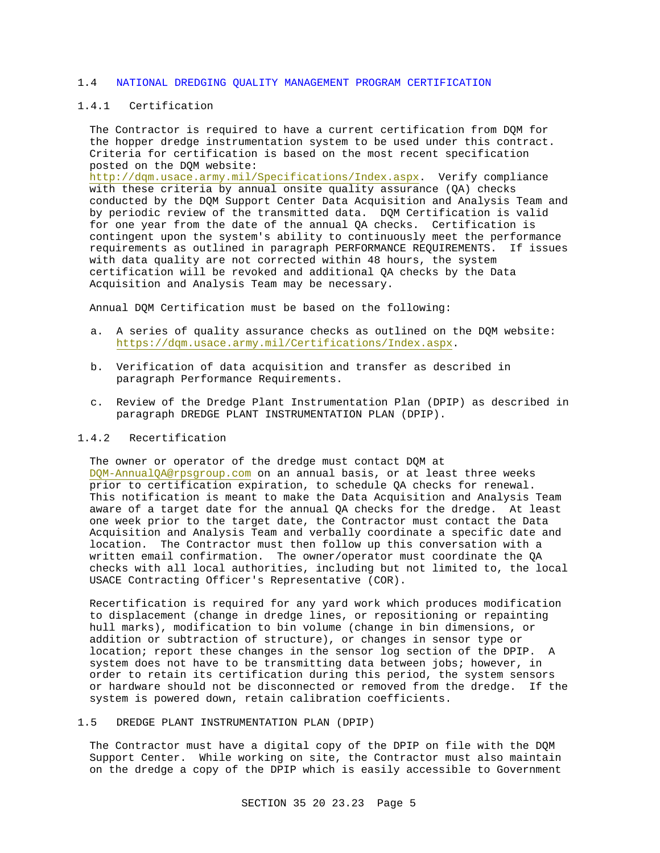#### 1.4 NATIONAL DREDGING QUALITY MANAGEMENT PROGRAM CERTIFICATION

# 1.4.1 Certification

The Contractor is required to have a current certification from DQM for the hopper dredge instrumentation system to be used under this contract. Criteria for certification is based on the most recent specification posted on the DQM website:

http://dqm.usace.army.mil/Specifications/Index.aspx. Verify compliance with these criteria by annual onsite quality assurance (QA) checks conducted by the DQM Support Center Data Acquisition and Analysis Team and by periodic review of the transmitted data. DQM Certification is valid for one year from the date of the annual QA checks. Certification is contingent upon the system's ability to continuously meet the performance requirements as outlined in paragraph PERFORMANCE REQUIREMENTS. If issues with data quality are not corrected within 48 hours, the system certification will be revoked and additional QA checks by the Data Acquisition and Analysis Team may be necessary.

Annual DQM Certification must be based on the following:

- a. A series of quality assurance checks as outlined on the DQM website: https://dqm.usace.army.mil/Certifications/Index.aspx.
- b. Verification of data acquisition and transfer as described in paragraph Performance Requirements.
- c. Review of the Dredge Plant Instrumentation Plan (DPIP) as described in paragraph DREDGE PLANT INSTRUMENTATION PLAN (DPIP).

#### 1.4.2 Recertification

The owner or operator of the dredge must contact DQM at DQM-AnnualQA@rpsgroup.com on an annual basis, or at least three weeks prior to certification expiration, to schedule QA checks for renewal. This notification is meant to make the Data Acquisition and Analysis Team aware of a target date for the annual QA checks for the dredge. At least one week prior to the target date, the Contractor must contact the Data Acquisition and Analysis Team and verbally coordinate a specific date and location. The Contractor must then follow up this conversation with a written email confirmation. The owner/operator must coordinate the QA checks with all local authorities, including but not limited to, the local USACE Contracting Officer's Representative (COR).

Recertification is required for any yard work which produces modification to displacement (change in dredge lines, or repositioning or repainting hull marks), modification to bin volume (change in bin dimensions, or addition or subtraction of structure), or changes in sensor type or location; report these changes in the sensor log section of the DPIP. A system does not have to be transmitting data between jobs; however, in order to retain its certification during this period, the system sensors or hardware should not be disconnected or removed from the dredge. If the system is powered down, retain calibration coefficients.

#### 1.5 DREDGE PLANT INSTRUMENTATION PLAN (DPIP)

The Contractor must have a digital copy of the DPIP on file with the DQM Support Center. While working on site, the Contractor must also maintain on the dredge a copy of the DPIP which is easily accessible to Government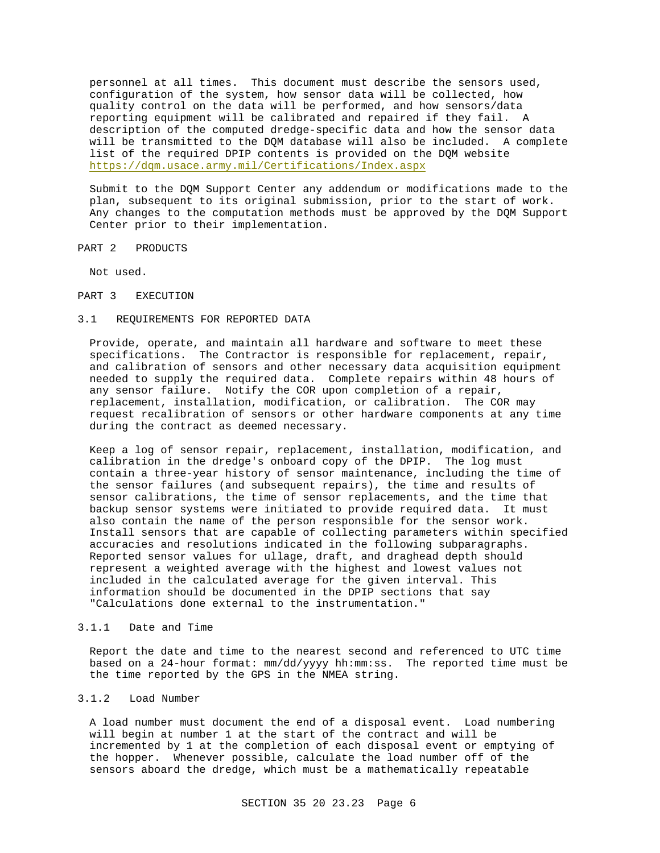personnel at all times. This document must describe the sensors used, configuration of the system, how sensor data will be collected, how quality control on the data will be performed, and how sensors/data reporting equipment will be calibrated and repaired if they fail. A description of the computed dredge-specific data and how the sensor data will be transmitted to the DQM database will also be included. A complete list of the required DPIP contents is provided on the DQM website https://dqm.usace.army.mil/Certifications/Index.aspx

Submit to the DQM Support Center any addendum or modifications made to the plan, subsequent to its original submission, prior to the start of work. Any changes to the computation methods must be approved by the DQM Support Center prior to their implementation.

PART 2 PRODUCTS

Not used.

PART 3 EXECUTION

#### 3.1 REQUIREMENTS FOR REPORTED DATA

Provide, operate, and maintain all hardware and software to meet these specifications. The Contractor is responsible for replacement, repair, and calibration of sensors and other necessary data acquisition equipment needed to supply the required data. Complete repairs within 48 hours of any sensor failure. Notify the COR upon completion of a repair, replacement, installation, modification, or calibration. The COR may request recalibration of sensors or other hardware components at any time during the contract as deemed necessary.

Keep a log of sensor repair, replacement, installation, modification, and calibration in the dredge's onboard copy of the DPIP. The log must contain a three-year history of sensor maintenance, including the time of the sensor failures (and subsequent repairs), the time and results of sensor calibrations, the time of sensor replacements, and the time that backup sensor systems were initiated to provide required data. It must also contain the name of the person responsible for the sensor work. Install sensors that are capable of collecting parameters within specified accuracies and resolutions indicated in the following subparagraphs. Reported sensor values for ullage, draft, and draghead depth should represent a weighted average with the highest and lowest values not included in the calculated average for the given interval. This information should be documented in the DPIP sections that say "Calculations done external to the instrumentation."

#### 3.1.1 Date and Time

Report the date and time to the nearest second and referenced to UTC time based on a 24-hour format: mm/dd/yyyy hh:mm:ss. The reported time must be the time reported by the GPS in the NMEA string.

#### 3.1.2 Load Number

A load number must document the end of a disposal event. Load numbering will begin at number 1 at the start of the contract and will be incremented by 1 at the completion of each disposal event or emptying of the hopper. Whenever possible, calculate the load number off of the sensors aboard the dredge, which must be a mathematically repeatable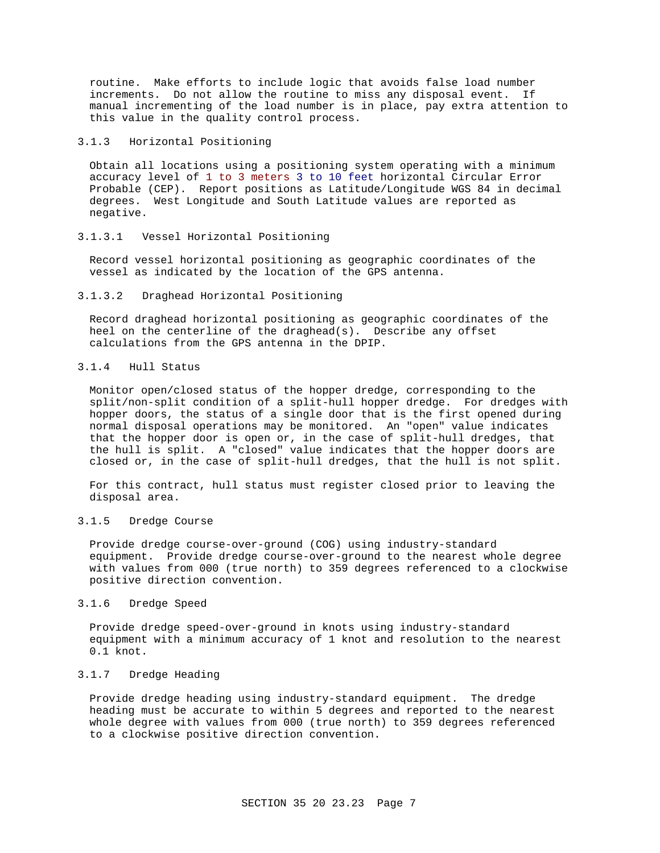routine. Make efforts to include logic that avoids false load number increments. Do not allow the routine to miss any disposal event. If manual incrementing of the load number is in place, pay extra attention to this value in the quality control process.

## 3.1.3 Horizontal Positioning

Obtain all locations using a positioning system operating with a minimum accuracy level of 1 to 3 meters 3 to 10 feet horizontal Circular Error Probable (CEP). Report positions as Latitude/Longitude WGS 84 in decimal degrees. West Longitude and South Latitude values are reported as negative.

#### 3.1.3.1 Vessel Horizontal Positioning

Record vessel horizontal positioning as geographic coordinates of the vessel as indicated by the location of the GPS antenna.

#### 3.1.3.2 Draghead Horizontal Positioning

Record draghead horizontal positioning as geographic coordinates of the heel on the centerline of the draghead(s). Describe any offset calculations from the GPS antenna in the DPIP.

## 3.1.4 Hull Status

Monitor open/closed status of the hopper dredge, corresponding to the split/non-split condition of a split-hull hopper dredge. For dredges with hopper doors, the status of a single door that is the first opened during normal disposal operations may be monitored. An "open" value indicates that the hopper door is open or, in the case of split-hull dredges, that the hull is split. A "closed" value indicates that the hopper doors are closed or, in the case of split-hull dredges, that the hull is not split.

For this contract, hull status must register closed prior to leaving the disposal area.

#### 3.1.5 Dredge Course

Provide dredge course-over-ground (COG) using industry-standard equipment. Provide dredge course-over-ground to the nearest whole degree with values from 000 (true north) to 359 degrees referenced to a clockwise positive direction convention.

#### 3.1.6 Dredge Speed

Provide dredge speed-over-ground in knots using industry-standard equipment with a minimum accuracy of 1 knot and resolution to the nearest 0.1 knot.

## 3.1.7 Dredge Heading

Provide dredge heading using industry-standard equipment. The dredge heading must be accurate to within 5 degrees and reported to the nearest whole degree with values from 000 (true north) to 359 degrees referenced to a clockwise positive direction convention.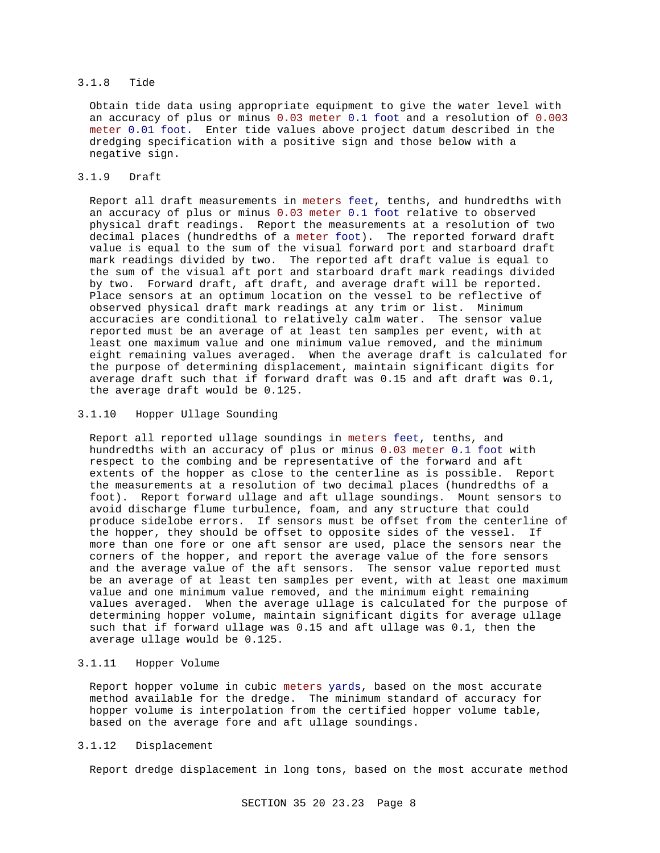## 3.1.8 Tide

Obtain tide data using appropriate equipment to give the water level with an accuracy of plus or minus 0.03 meter 0.1 foot and a resolution of 0.003 meter 0.01 foot. Enter tide values above project datum described in the dredging specification with a positive sign and those below with a negative sign.

# 3.1.9 Draft

Report all draft measurements in meters feet, tenths, and hundredths with an accuracy of plus or minus 0.03 meter 0.1 foot relative to observed physical draft readings. Report the measurements at a resolution of two decimal places (hundredths of a meter foot). The reported forward draft value is equal to the sum of the visual forward port and starboard draft mark readings divided by two. The reported aft draft value is equal to the sum of the visual aft port and starboard draft mark readings divided by two. Forward draft, aft draft, and average draft will be reported. Place sensors at an optimum location on the vessel to be reflective of observed physical draft mark readings at any trim or list. Minimum accuracies are conditional to relatively calm water. The sensor value reported must be an average of at least ten samples per event, with at least one maximum value and one minimum value removed, and the minimum eight remaining values averaged. When the average draft is calculated for the purpose of determining displacement, maintain significant digits for average draft such that if forward draft was 0.15 and aft draft was 0.1, the average draft would be 0.125.

#### 3.1.10 Hopper Ullage Sounding

Report all reported ullage soundings in meters feet, tenths, and hundredths with an accuracy of plus or minus 0.03 meter 0.1 foot with respect to the combing and be representative of the forward and aft extents of the hopper as close to the centerline as is possible. Report the measurements at a resolution of two decimal places (hundredths of a foot). Report forward ullage and aft ullage soundings. Mount sensors to avoid discharge flume turbulence, foam, and any structure that could produce sidelobe errors. If sensors must be offset from the centerline of the hopper, they should be offset to opposite sides of the vessel. If more than one fore or one aft sensor are used, place the sensors near the corners of the hopper, and report the average value of the fore sensors and the average value of the aft sensors. The sensor value reported must be an average of at least ten samples per event, with at least one maximum value and one minimum value removed, and the minimum eight remaining values averaged. When the average ullage is calculated for the purpose of determining hopper volume, maintain significant digits for average ullage such that if forward ullage was 0.15 and aft ullage was 0.1, then the average ullage would be 0.125.

## 3.1.11 Hopper Volume

Report hopper volume in cubic meters yards, based on the most accurate method available for the dredge. The minimum standard of accuracy for hopper volume is interpolation from the certified hopper volume table, based on the average fore and aft ullage soundings.

## 3.1.12 Displacement

Report dredge displacement in long tons, based on the most accurate method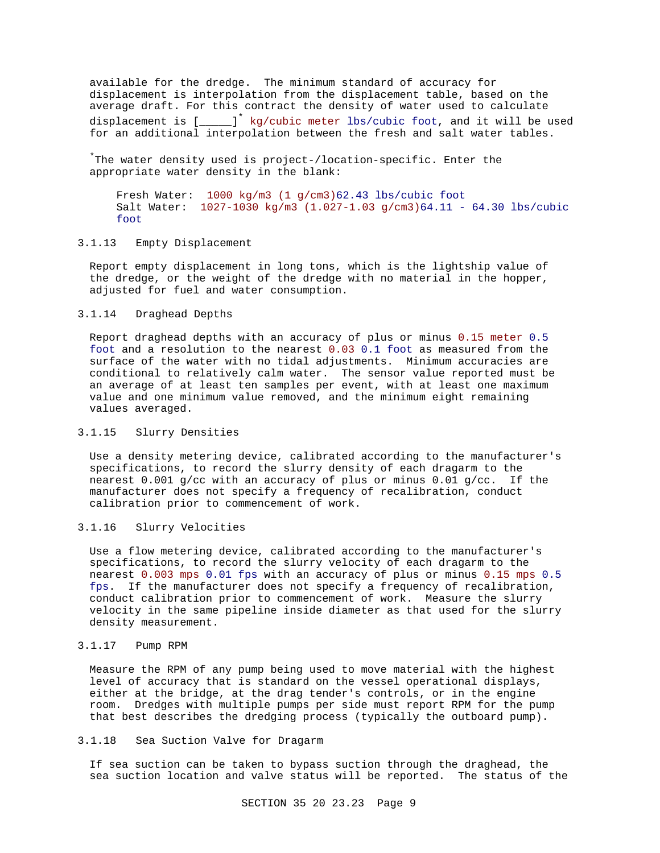available for the dredge. The minimum standard of accuracy for displacement is interpolation from the displacement table, based on the average draft. For this contract the density of water used to calculate displacement is  $\left[\frac{1}{\sqrt{2}}\right]$  kg/cubic meter lbs/cubic foot, and it will be used for an additional interpolation between the fresh and salt water tables.

\*The water density used is project-/location-specific. Enter the appropriate water density in the blank:

Fresh Water: 1000 kg/m3 (1 g/cm3)62.43 lbs/cubic foot Salt Water: 1027-1030 kg/m3 (1.027-1.03 g/cm3)64.11 - 64.30 lbs/cubic foot

## 3.1.13 Empty Displacement

Report empty displacement in long tons, which is the lightship value of the dredge, or the weight of the dredge with no material in the hopper, adjusted for fuel and water consumption.

## 3.1.14 Draghead Depths

Report draghead depths with an accuracy of plus or minus 0.15 meter 0.5 foot and a resolution to the nearest 0.03 0.1 foot as measured from the surface of the water with no tidal adjustments. Minimum accuracies are conditional to relatively calm water. The sensor value reported must be an average of at least ten samples per event, with at least one maximum value and one minimum value removed, and the minimum eight remaining values averaged.

## 3.1.15 Slurry Densities

Use a density metering device, calibrated according to the manufacturer's specifications, to record the slurry density of each dragarm to the nearest 0.001 g/cc with an accuracy of plus or minus 0.01 g/cc. If the manufacturer does not specify a frequency of recalibration, conduct calibration prior to commencement of work.

# 3.1.16 Slurry Velocities

Use a flow metering device, calibrated according to the manufacturer's specifications, to record the slurry velocity of each dragarm to the nearest 0.003 mps 0.01 fps with an accuracy of plus or minus 0.15 mps 0.5 fps. If the manufacturer does not specify a frequency of recalibration, conduct calibration prior to commencement of work. Measure the slurry velocity in the same pipeline inside diameter as that used for the slurry density measurement.

## 3.1.17 Pump RPM

Measure the RPM of any pump being used to move material with the highest level of accuracy that is standard on the vessel operational displays, either at the bridge, at the drag tender's controls, or in the engine room. Dredges with multiple pumps per side must report RPM for the pump that best describes the dredging process (typically the outboard pump).

## 3.1.18 Sea Suction Valve for Dragarm

If sea suction can be taken to bypass suction through the draghead, the sea suction location and valve status will be reported. The status of the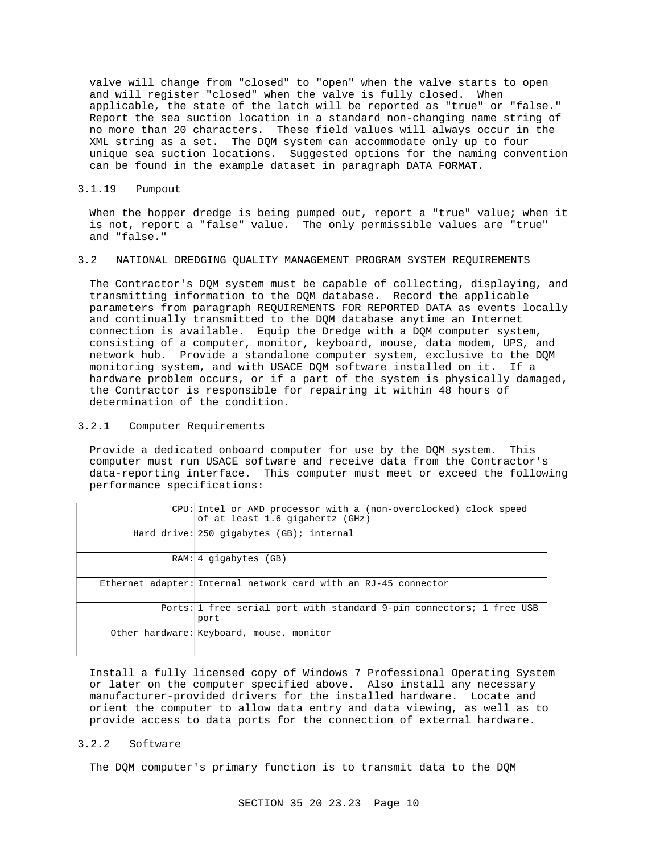valve will change from "closed" to "open" when the valve starts to open and will register "closed" when the valve is fully closed. When applicable, the state of the latch will be reported as "true" or "false." Report the sea suction location in a standard non-changing name string of no more than 20 characters. These field values will always occur in the XML string as a set. The DQM system can accommodate only up to four unique sea suction locations. Suggested options for the naming convention can be found in the example dataset in paragraph DATA FORMAT.

## 3.1.19 Pumpout

When the hopper dredge is being pumped out, report a "true" value; when it is not, report a "false" value. The only permissible values are "true" and "false."

#### 3.2 NATIONAL DREDGING QUALITY MANAGEMENT PROGRAM SYSTEM REQUIREMENTS

The Contractor's DQM system must be capable of collecting, displaying, and transmitting information to the DQM database. Record the applicable parameters from paragraph REQUIREMENTS FOR REPORTED DATA as events locally and continually transmitted to the DQM database anytime an Internet connection is available. Equip the Dredge with a DQM computer system, consisting of a computer, monitor, keyboard, mouse, data modem, UPS, and network hub. Provide a standalone computer system, exclusive to the DQM monitoring system, and with USACE DQM software installed on it. If a hardware problem occurs, or if a part of the system is physically damaged, the Contractor is responsible for repairing it within 48 hours of determination of the condition.

## 3.2.1 Computer Requirements

Provide a dedicated onboard computer for use by the DQM system. This computer must run USACE software and receive data from the Contractor's data-reporting interface. This computer must meet or exceed the following performance specifications:

| CPU: Intel or AMD processor with a (non-overclocked) clock speed<br>of at least 1.6 gigahertz (GHz) |
|-----------------------------------------------------------------------------------------------------|
| Hard drive: $250$ qiqabytes $(B)$ ; internal                                                        |
| $RAM: 4$ qiqabytes $(GB)$                                                                           |
| Ethernet adapter: Internal network card with an RJ-45 connector                                     |
| Ports: 1 free serial port with standard 9-pin connectors; 1 free USB<br>port                        |
| Other hardware: Keyboard, mouse, monitor                                                            |

Install a fully licensed copy of Windows 7 Professional Operating System or later on the computer specified above. Also install any necessary manufacturer-provided drivers for the installed hardware. Locate and orient the computer to allow data entry and data viewing, as well as to provide access to data ports for the connection of external hardware.

#### 3.2.2 Software

The DQM computer's primary function is to transmit data to the DQM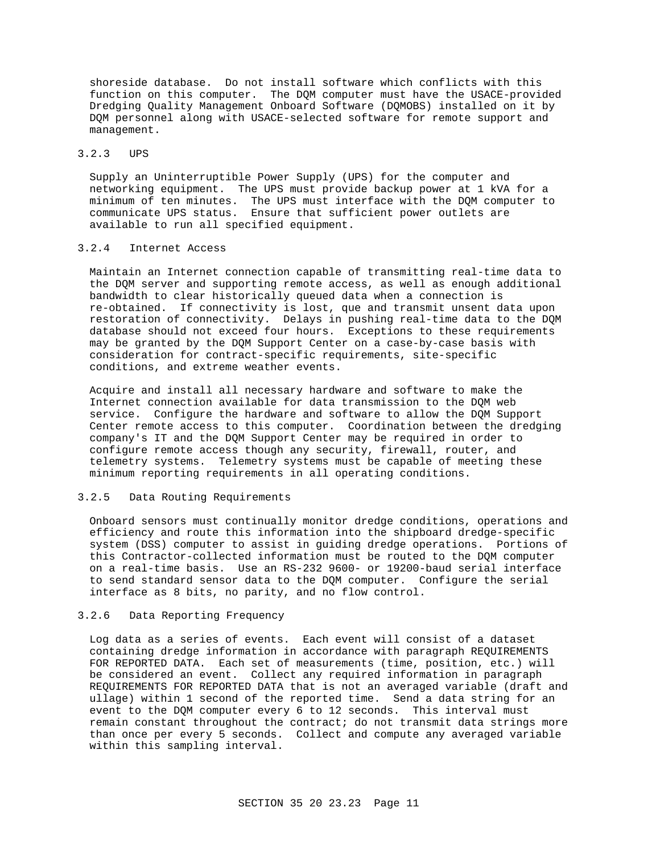shoreside database. Do not install software which conflicts with this function on this computer. The DQM computer must have the USACE-provided Dredging Quality Management Onboard Software (DQMOBS) installed on it by DQM personnel along with USACE-selected software for remote support and management.

## 3.2.3 UPS

Supply an Uninterruptible Power Supply (UPS) for the computer and networking equipment. The UPS must provide backup power at 1 kVA for a minimum of ten minutes. The UPS must interface with the DQM computer to communicate UPS status. Ensure that sufficient power outlets are available to run all specified equipment.

## 3.2.4 Internet Access

Maintain an Internet connection capable of transmitting real-time data to the DQM server and supporting remote access, as well as enough additional bandwidth to clear historically queued data when a connection is re-obtained. If connectivity is lost, que and transmit unsent data upon restoration of connectivity. Delays in pushing real-time data to the DQM database should not exceed four hours. Exceptions to these requirements may be granted by the DQM Support Center on a case-by-case basis with consideration for contract-specific requirements, site-specific conditions, and extreme weather events.

Acquire and install all necessary hardware and software to make the Internet connection available for data transmission to the DQM web service. Configure the hardware and software to allow the DQM Support Center remote access to this computer. Coordination between the dredging company's IT and the DQM Support Center may be required in order to configure remote access though any security, firewall, router, and telemetry systems. Telemetry systems must be capable of meeting these minimum reporting requirements in all operating conditions.

## 3.2.5 Data Routing Requirements

Onboard sensors must continually monitor dredge conditions, operations and efficiency and route this information into the shipboard dredge-specific system (DSS) computer to assist in guiding dredge operations. Portions of this Contractor-collected information must be routed to the DQM computer on a real-time basis. Use an RS-232 9600- or 19200-baud serial interface to send standard sensor data to the DQM computer. Configure the serial interface as 8 bits, no parity, and no flow control.

## 3.2.6 Data Reporting Frequency

Log data as a series of events. Each event will consist of a dataset containing dredge information in accordance with paragraph REQUIREMENTS FOR REPORTED DATA. Each set of measurements (time, position, etc.) will be considered an event. Collect any required information in paragraph REQUIREMENTS FOR REPORTED DATA that is not an averaged variable (draft and ullage) within 1 second of the reported time. Send a data string for an event to the DQM computer every 6 to 12 seconds. This interval must remain constant throughout the contract; do not transmit data strings more than once per every 5 seconds. Collect and compute any averaged variable within this sampling interval.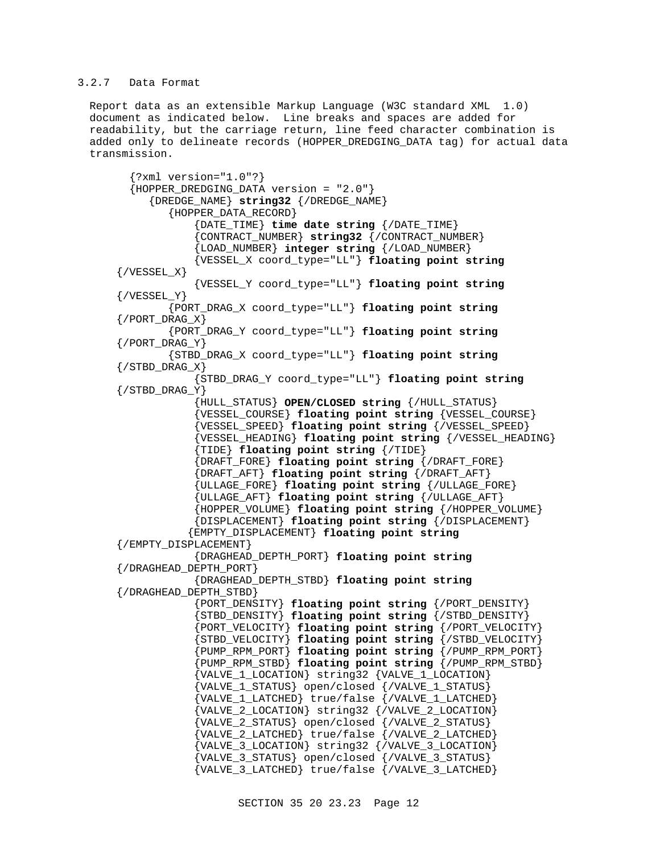## 3.2.7 Data Format

Report data as an extensible Markup Language (W3C standard XML 1.0) document as indicated below. Line breaks and spaces are added for readability, but the carriage return, line feed character combination is added only to delineate records (HOPPER\_DREDGING\_DATA tag) for actual data transmission.

 {?xml version="1.0"?}  ${HOPPER\_DREDGING\_DATA version = "2.0"}$  {DREDGE\_NAME} **string32** {/DREDGE\_NAME} {HOPPER\_DATA\_RECORD} {DATE\_TIME} **time date string** {/DATE\_TIME} {CONTRACT\_NUMBER} **string32** {/CONTRACT\_NUMBER} {LOAD\_NUMBER} **integer string** {/LOAD\_NUMBER} {VESSEL\_X coord\_type="LL"} **floating point string**  $\{ / VESSEL_X\}$  {VESSEL\_Y coord\_type="LL"} **floating point string**  $\{ / VESSEL Y \}$  {PORT\_DRAG\_X coord\_type="LL"} **floating point string** {/PORT\_DRAG\_X} {PORT\_DRAG\_Y coord\_type="LL"} **floating point string**  $\{$  / PORT\_DRAG\_Y  $\}$  {STBD\_DRAG\_X coord\_type="LL"} **floating point string**  $\{$  / STBD DRAG  $X$ } {STBD\_DRAG\_Y coord\_type="LL"} **floating point string**  $\{ / \texttt{STBD\_DRAG\_Y} \}$  {HULL\_STATUS} **OPEN/CLOSED string** {/HULL\_STATUS} {VESSEL\_COURSE} **floating point string** {VESSEL\_COURSE} {VESSEL\_SPEED} **floating point string** {/VESSEL\_SPEED} {VESSEL\_HEADING} **floating point string** {/VESSEL\_HEADING} {TIDE} **floating point string** {/TIDE} {DRAFT\_FORE} **floating point string** {/DRAFT\_FORE} {DRAFT\_AFT} **floating point string** {/DRAFT\_AFT} {ULLAGE\_FORE} **floating point string** {/ULLAGE\_FORE} {ULLAGE\_AFT} **floating point string** {/ULLAGE\_AFT} {HOPPER\_VOLUME} **floating point string** {/HOPPER\_VOLUME} {DISPLACEMENT} **floating point string** {/DISPLACEMENT} {EMPTY\_DISPLACEMENT} **floating point string** {/EMPTY\_DISPLACEMENT} {DRAGHEAD\_DEPTH\_PORT} **floating point string** {/DRAGHEAD\_DEPTH\_PORT} {DRAGHEAD\_DEPTH\_STBD} **floating point string** {/DRAGHEAD\_DEPTH\_STBD} {PORT\_DENSITY} **floating point string** {/PORT\_DENSITY} {STBD\_DENSITY} **floating point string** {/STBD\_DENSITY} {PORT\_VELOCITY} **floating point string** {/PORT\_VELOCITY} {STBD\_VELOCITY} **floating point string** {/STBD\_VELOCITY} {PUMP\_RPM\_PORT} **floating point string** {/PUMP\_RPM\_PORT} {PUMP\_RPM\_STBD} **floating point string** {/PUMP\_RPM\_STBD} {VALVE\_1\_LOCATION} string32 {VALVE\_1\_LOCATION} {VALVE\_1\_STATUS} open/closed {/VALVE\_1\_STATUS} {VALVE\_1\_LATCHED} true/false {/VALVE\_1\_LATCHED} {VALVE\_2\_LOCATION} string32 {/VALVE\_2\_LOCATION} {VALVE\_2\_STATUS} open/closed {/VALVE\_2\_STATUS} {VALVE\_2\_LATCHED} true/false {/VALVE\_2\_LATCHED} {VALVE\_3\_LOCATION} string32 {/VALVE\_3\_LOCATION} {VALVE\_3\_STATUS} open/closed {/VALVE\_3\_STATUS} {VALVE\_3\_LATCHED} true/false {/VALVE\_3\_LATCHED}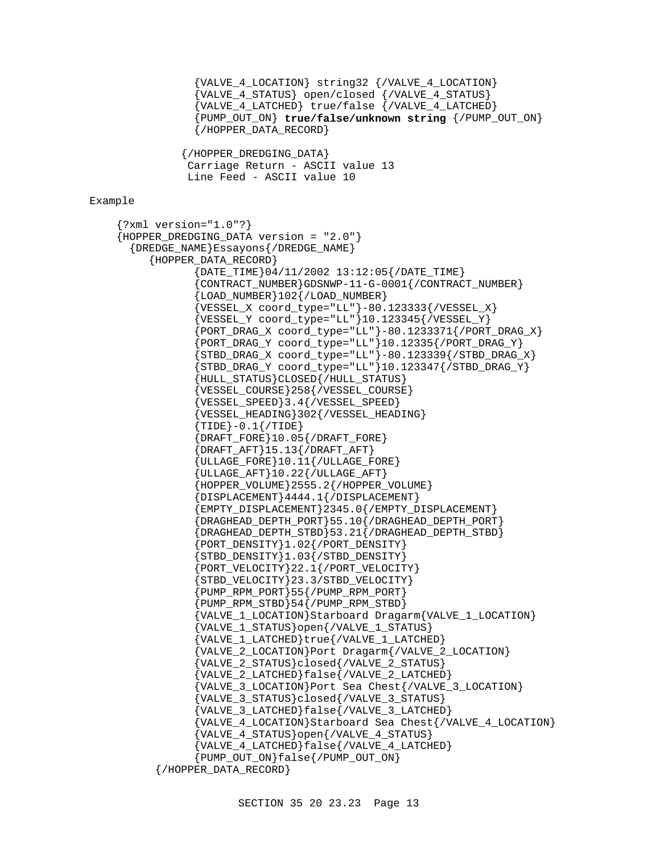```
 {VALVE_4_LOCATION} string32 {/VALVE_4_LOCATION}
                  {VALVE_4_STATUS} open/closed {/VALVE_4_STATUS}
                  {VALVE_4_LATCHED} true/false {/VALVE_4_LATCHED}
                  {PUMP_OUT_ON} true/false/unknown string {/PUMP_OUT_ON}
                  {/HOPPER_DATA_RECORD}
                {/HOPPER_DREDGING_DATA}
                 Carriage Return - ASCII value 13
                 Line Feed - ASCII value 10
Example
    {?xml version="1.0"?}
    {HOPPER_DREDGING_DATA version = "2.0"}
       {DREDGE_NAME}Essayons{/DREDGE_NAME}
           {HOPPER_DATA_RECORD}
                  {DATE_TIME}04/11/2002 13:12:05{/DATE_TIME}
                   {CONTRACT_NUMBER}GDSNWP-11-G-0001{/CONTRACT_NUMBER}
                  LOAD_NUMBER 102 { / LOAD_NUMBER }
                 {VESSEL_X \ coord_type = "LL" } - 80.123333 { / VESSEL_X}\{ {\tt VESSEL\_Y} \hspace{2mm} {\tt coord\_type} = "LL" \} 10.123345 \{ \verb|/VESSEL_Y| \} {PORT_DRAG_X coord_type="LL"}-80.1233371{/PORT_DRAG_X}
                  {PORT_DRAG_Y coord_type="LL"}10.12335{/PORT_DRAG_Y}
                  {STBD\_DRAG_X \text{coord\_type}} = "LL" - 80.123339 { / STBD\_DRAG_X}{STBD\_DRAG_Y} coord_type="LL" }10.123347{/STBD\_DRAG_Y} {HULL_STATUS}CLOSED{/HULL_STATUS}
                   {VESSEL_COURSE}258{/VESSEL_COURSE}
                   {VESSEL_SPEED}3.4{/VESSEL_SPEED}
                   {VESSEL_HEADING}302{/VESSEL_HEADING}
                   {TIDE}-0.1{/TIDE}
                  {D}RAFT_FORE{10.05}/DRAFT_FORE}
                   {DRAFT_AFT}15.13{/DRAFT_AFT}
                  {ULLAGE\_FORE}10.11{{ULLAGE\_FORE}} {ULLAGE_AFT}10.22{/ULLAGE_AFT}
                  {HOPPER_VOLUME}2555.2{/HOPPER_VOLUME}
                  {DISPLACEMENT}4444.1{/DISPLACEMENT}
                  {EMPTY_DISPLACEMENT}2345.0{/EMPTY_DISPLACEMENT}
                  {DRAGHEAD_DEPTH_PORT}55.10{/DRAGHEAD_DEPTH_PORT}
                  {DRAGHEAD_DEPTH_STBD}53.21{/DRAGHEAD_DEPTH_STBD}
                   {PORT_DENSITY}1.02{/PORT_DENSITY}
                   {STBD_DENSITY}1.03{/STBD_DENSITY}
                   {PORT_VELOCITY}22.1{/PORT_VELOCITY}
                   {STBD_VELOCITY}23.3/STBD_VELOCITY}
                  {PUMP_RPM_PORT}55{/PUMP_RPM_PORT}
                  {PUMP\_RPM\_STBD}54 { / PUMP\_RPM\_STBD} {VALVE_1_LOCATION}Starboard Dragarm{VALVE_1_LOCATION}
                  {VALVE_1_STATUS}open{/VALVE_1_STATUS}
                   {VALVE_1_LATCHED}true{/VALVE_1_LATCHED}
                   {VALVE_2_LOCATION}Port Dragarm{/VALVE_2_LOCATION}
                  {VALVE_2_STATUS}closed{/VALVE_2_STATUS}
                   {VALVE_2_LATCHED}false{/VALVE_2_LATCHED}
                   {VALVE_3_LOCATION}Port Sea Chest{/VALVE_3_LOCATION}
                   {VALVE_3_STATUS}closed{/VALVE_3_STATUS}
                   {VALVE_3_LATCHED}false{/VALVE_3_LATCHED}
                   {VALVE_4_LOCATION}Starboard Sea Chest{/VALVE_4_LOCATION}
                  {VALVE_4_STATUS}open{/VALVE_4_STATUS}
                  {VALVE_4_LATCHED}false{/VALVE_4_LATCHED}
                  {PUMP_OUT_ON}false{/PUMP_OUT_ON}
            {/HOPPER_DATA_RECORD}
```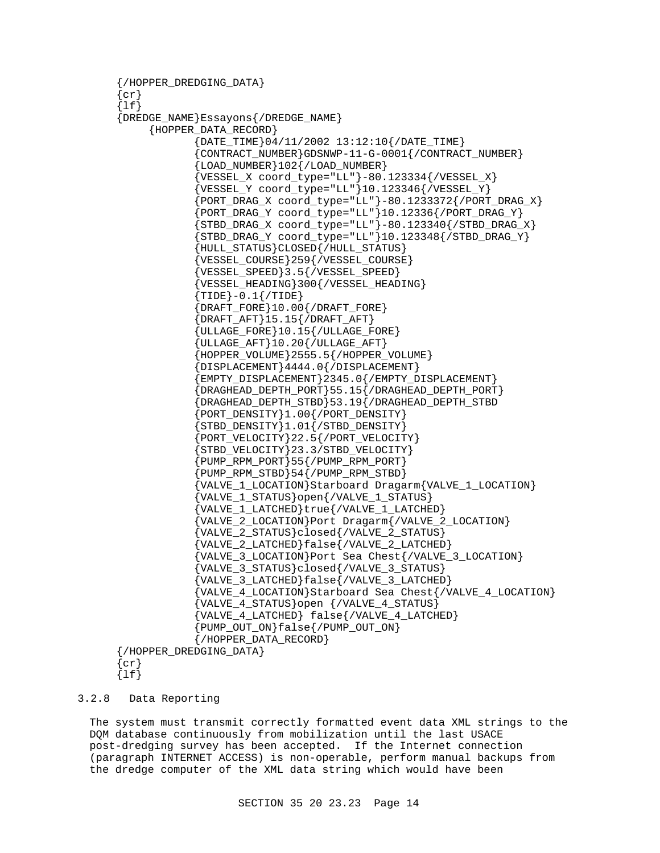```
{/HOPPER_DREDGING_DATA}
\{cr\}\{lf\}{DREDGE_NAME}Essayons{/DREDGE_NAME}
      {HOPPER_DATA_RECORD}
              {DATE_TIME}04/11/2002 13:12:10{/DATE_TIME}
              {CONTRACT_NUMBER}GDSNWP-11-G-0001{/CONTRACT_NUMBER}
              {LOAD_NUMBER}102{/LOAD_NUMBER}
             {VESSEL_X \text{coord_type="LL" }}-80.123334 { / VESSEL_X } {VESSEL_Y coord_type="LL"}10.123346{/VESSEL_Y}
              {PORT_DRAG_X coord_type="LL"}-80.1233372{/PORT_DRAG_X}
             {PORT\_DRAG_Y} coord_type="LL"10.12336{PORT\_DRAG_Y}{STBD\_DRAG_X \text{coord\_type}} = "LL" - 80.123340 { / STBD\_DRAG_X}{STBD\_DRAG_Y} coord_type="LL" 10.123348 { / STBD_DRAG_Y }
              {HULL_STATUS}CLOSED{/HULL_STATUS}
              {VESSEL_COURSE}259{/VESSEL_COURSE}
              {VESSEL_SPEED}3.5{/VESSEL_SPEED}
              {VESSEL_HEADING}300{/VESSEL_HEADING}
              {TIDE}-0.1{/TIDE}
              {DRAFT_FORE}10.00{/DRAFT_FORE}
              {DRAFT_AFT}15.15{/DRAFT_AFT}
              {ULLAGE_FORE}10.15{/ULLAGE_FORE}
             \{{\tt ULLAGE\_AFT}\}10.20\{ /ULLAGE_AFT\} {HOPPER_VOLUME}2555.5{/HOPPER_VOLUME}
              {DISPLACEMENT}4444.0{/DISPLACEMENT}
              {EMPTY_DISPLACEMENT}2345.0{/EMPTY_DISPLACEMENT}
             {D}{R}AGHEAD_DEPTH_PORT{55.15} /DRAGHEAD_DEPTH_PORT} {DRAGHEAD_DEPTH_STBD}53.19{/DRAGHEAD_DEPTH_STBD
              {PORT_DENSITY}1.00{/PORT_DENSITY}
              {STBD_DENSITY}1.01{/STBD_DENSITY}
              {PORT_VELOCITY}22.5{/PORT_VELOCITY}
              {STBD_VELOCITY}23.3/STBD_VELOCITY}
              {PUMP_RPM_PORT}55{/PUMP_RPM_PORT}
             {PUMP_RPM_STBD}54PUMP_RPM_STBD} {VALVE_1_LOCATION}Starboard Dragarm{VALVE_1_LOCATION}
              {VALVE_1_STATUS}open{/VALVE_1_STATUS}
              {VALVE_1_LATCHED}true{/VALVE_1_LATCHED}
              {VALVE_2_LOCATION}Port Dragarm{/VALVE_2_LOCATION}
              {VALVE_2_STATUS}closed{/VALVE_2_STATUS}
              {VALVE_2_LATCHED}false{/VALVE_2_LATCHED}
              {VALVE_3_LOCATION}Port Sea Chest{/VALVE_3_LOCATION}
              {VALVE_3_STATUS}closed{/VALVE_3_STATUS}
              {VALVE_3_LATCHED}false{/VALVE_3_LATCHED}
              {VALVE_4_LOCATION}Starboard Sea Chest{/VALVE_4_LOCATION}
              {VALVE_4_STATUS}open {/VALVE_4_STATUS}
              {VALVE_4_LATCHED} false{/VALVE_4_LATCHED}
              {PUMP_OUT_ON}false{/PUMP_OUT_ON}
              {/HOPPER_DATA_RECORD}
{/HOPPER_DREDGING_DATA}
\{cr\}{lf}
```
#### 3.2.8 Data Reporting

The system must transmit correctly formatted event data XML strings to the DQM database continuously from mobilization until the last USACE post-dredging survey has been accepted. If the Internet connection (paragraph INTERNET ACCESS) is non-operable, perform manual backups from the dredge computer of the XML data string which would have been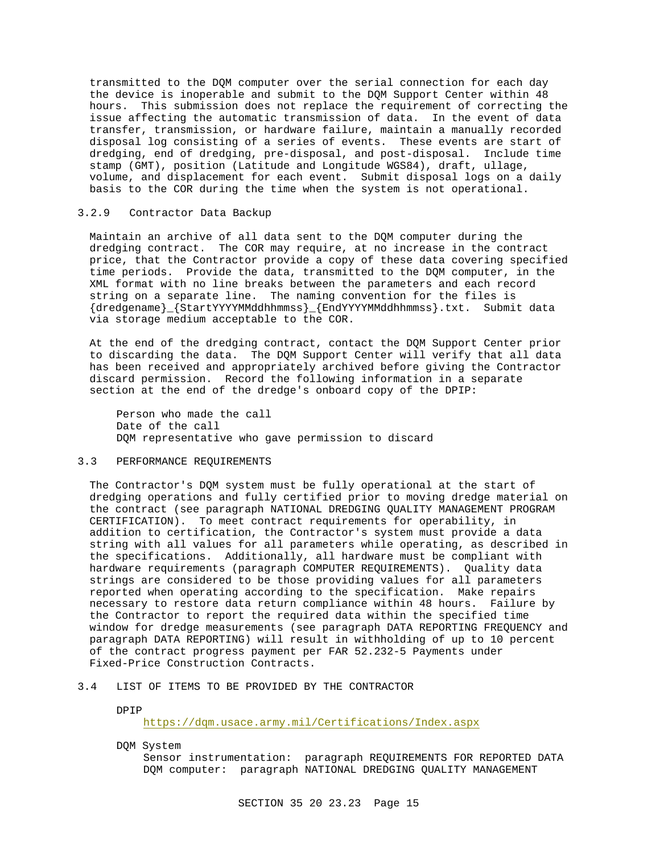transmitted to the DQM computer over the serial connection for each day the device is inoperable and submit to the DQM Support Center within 48 hours. This submission does not replace the requirement of correcting the issue affecting the automatic transmission of data. In the event of data transfer, transmission, or hardware failure, maintain a manually recorded disposal log consisting of a series of events. These events are start of dredging, end of dredging, pre-disposal, and post-disposal. Include time stamp (GMT), position (Latitude and Longitude WGS84), draft, ullage, volume, and displacement for each event. Submit disposal logs on a daily basis to the COR during the time when the system is not operational.

## 3.2.9 Contractor Data Backup

Maintain an archive of all data sent to the DQM computer during the dredging contract. The COR may require, at no increase in the contract price, that the Contractor provide a copy of these data covering specified time periods. Provide the data, transmitted to the DQM computer, in the XML format with no line breaks between the parameters and each record string on a separate line. The naming convention for the files is {dredgename}\_{StartYYYYMMddhhmmss}\_{EndYYYYMMddhhmmss}.txt. Submit data via storage medium acceptable to the COR.

At the end of the dredging contract, contact the DQM Support Center prior to discarding the data. The DQM Support Center will verify that all data has been received and appropriately archived before giving the Contractor discard permission. Record the following information in a separate section at the end of the dredge's onboard copy of the DPIP:

Person who made the call Date of the call DQM representative who gave permission to discard

# 3.3 PERFORMANCE REQUIREMENTS

The Contractor's DQM system must be fully operational at the start of dredging operations and fully certified prior to moving dredge material on the contract (see paragraph NATIONAL DREDGING QUALITY MANAGEMENT PROGRAM CERTIFICATION). To meet contract requirements for operability, in addition to certification, the Contractor's system must provide a data string with all values for all parameters while operating, as described in the specifications. Additionally, all hardware must be compliant with hardware requirements (paragraph COMPUTER REQUIREMENTS). Quality data strings are considered to be those providing values for all parameters reported when operating according to the specification. Make repairs necessary to restore data return compliance within 48 hours. Failure by the Contractor to report the required data within the specified time window for dredge measurements (see paragraph DATA REPORTING FREQUENCY and paragraph DATA REPORTING) will result in withholding of up to 10 percent of the contract progress payment per FAR 52.232-5 Payments under Fixed-Price Construction Contracts.

# 3.4 LIST OF ITEMS TO BE PROVIDED BY THE CONTRACTOR

DPIP

https://dqm.usace.army.mil/Certifications/Index.aspx

DQM System

Sensor instrumentation: paragraph REQUIREMENTS FOR REPORTED DATA DQM computer: paragraph NATIONAL DREDGING QUALITY MANAGEMENT